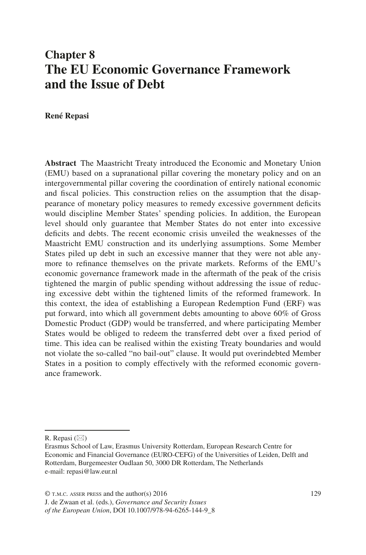# **Chapter 8 The EU Economic Governance Framework and the Issue of Debt**

#### **René Repasi**

**Abstract** The Maastricht Treaty introduced the Economic and Monetary Union (EMU) based on a supranational pillar covering the monetary policy and on an intergovernmental pillar covering the coordination of entirely national economic and fiscal policies. This construction relies on the assumption that the disappearance of monetary policy measures to remedy excessive government deficits would discipline Member States' spending policies. In addition, the European level should only guarantee that Member States do not enter into excessive deficits and debts. The recent economic crisis unveiled the weaknesses of the Maastricht EMU construction and its underlying assumptions. Some Member States piled up debt in such an excessive manner that they were not able anymore to refinance themselves on the private markets. Reforms of the EMU's economic governance framework made in the aftermath of the peak of the crisis tightened the margin of public spending without addressing the issue of reducing excessive debt within the tightened limits of the reformed framework. In this context, the idea of establishing a European Redemption Fund (ERF) was put forward, into which all government debts amounting to above 60% of Gross Domestic Product (GDP) would be transferred, and where participating Member States would be obliged to redeem the transferred debt over a fixed period of time. This idea can be realised within the existing Treaty boundaries and would not violate the so-called "no bail-out" clause. It would put overindebted Member States in a position to comply effectively with the reformed economic governance framework.

J. de Zwaan et al. (eds.), *Governance and Security Issues of the European Union*, DOI 10.1007/978-94-6265-144-9\_8

R. Repasi  $(\boxtimes)$ 

Erasmus School of Law, Erasmus University Rotterdam, European Research Centre for Economic and Financial Governance (EURO-CEFG) of the Universities of Leiden, Delft and Rotterdam, Burgemeester Oudlaan 50, 3000 DR Rotterdam, The Netherlands e-mail: repasi@law.eur.nl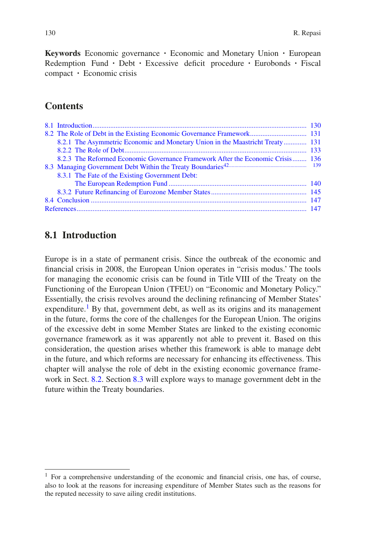**Keywords** Economic governance **·** Economic and Monetary Union **·** European Redemption Fund **·** Debt **·** Excessive deficit procedure **·** Eurobonds **·** Fiscal compact **·** Economic crisis

### **Contents**

| 8.3.1 The Fate of the Existing Government Debt: |                                                                                                                                                                                                                                                                      |
|-------------------------------------------------|----------------------------------------------------------------------------------------------------------------------------------------------------------------------------------------------------------------------------------------------------------------------|
|                                                 |                                                                                                                                                                                                                                                                      |
|                                                 |                                                                                                                                                                                                                                                                      |
|                                                 |                                                                                                                                                                                                                                                                      |
|                                                 |                                                                                                                                                                                                                                                                      |
|                                                 | 8.2.1 The Asymmetric Economic and Monetary Union in the Maastricht Treaty 131<br>8.2.3 The Reformed Economic Governance Framework After the Economic Crisis 136<br>8.3 Managing Government Debt Within the Treaty Boundaries <sup>42</sup> manufacturers and the 139 |

## **8.1 Introduction**

Europe is in a state of permanent crisis. Since the outbreak of the economic and financial crisis in 2008, the European Union operates in "crisis modus.' The tools for managing the economic crisis can be found in Title VIII of the Treaty on the Functioning of the European Union (TFEU) on "Economic and Monetary Policy." Essentially, the crisis revolves around the declining refinancing of Member States' expenditure.<sup>1</sup> By that, government debt, as well as its origins and its management in the future, forms the core of the challenges for the European Union. The origins of the excessive debt in some Member States are linked to the existing economic governance framework as it was apparently not able to prevent it. Based on this consideration, the question arises whether this framework is able to manage debt in the future, and which reforms are necessary for enhancing its effectiveness. This chapter will analyse the role of debt in the existing economic governance framework in Sect. [8.2](#page-2-1). Section [8.3](#page-10-1) will explore ways to manage government debt in the future within the Treaty boundaries.

<span id="page-1-0"></span><sup>&</sup>lt;sup>1</sup> For a comprehensive understanding of the economic and financial crisis, one has, of course, also to look at the reasons for increasing expenditure of Member States such as the reasons for the reputed necessity to save ailing credit institutions.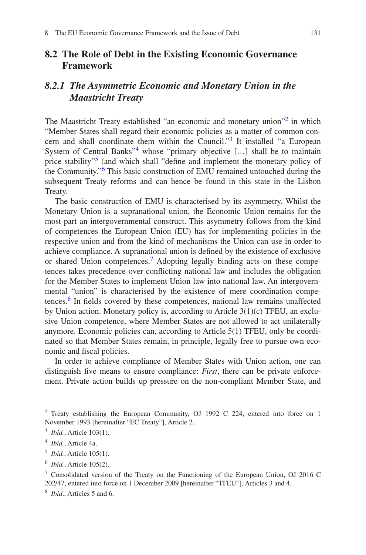# <span id="page-2-1"></span><span id="page-2-0"></span>**8.2 The Role of Debt in the Existing Economic Governance Framework**

# *8.2.1 The Asymmetric Economic and Monetary Union in the Maastricht Treaty*

The Maastricht Treaty established "an economic and monetary union"[2](#page-2-2) in which "Member States shall regard their economic policies as a matter of common concern and shall coordinate them within the Council."[3](#page-2-3) It installed "a European System of Central Banks"<sup>4</sup> whose "primary objective [...] shall be to maintain price stability["5](#page-2-5) (and which shall "define and implement the monetary policy of the Community."[6](#page-2-6) This basic construction of EMU remained untouched during the subsequent Treaty reforms and can hence be found in this state in the Lisbon Treaty.

The basic construction of EMU is characterised by its asymmetry. Whilst the Monetary Union is a supranational union, the Economic Union remains for the most part an intergovernmental construct. This asymmetry follows from the kind of competences the European Union (EU) has for implementing policies in the respective union and from the kind of mechanisms the Union can use in order to achieve compliance. A supranational union is defined by the existence of exclusive or shared Union competences.<sup>7</sup> Adopting legally binding acts on these competences takes precedence over conflicting national law and includes the obligation for the Member States to implement Union law into national law. An intergovernmental "union" is characterised by the existence of mere coordination competences. $8 \text{ In fields covered by these competences, national law remains unaffected}$ by Union action. Monetary policy is, according to Article 3(1)(c) TFEU, an exclusive Union competence, where Member States are not allowed to act unilaterally anymore. Economic policies can, according to Article 5(1) TFEU, only be coordinated so that Member States remain, in principle, legally free to pursue own economic and fiscal policies.

In order to achieve compliance of Member States with Union action, one can distinguish five means to ensure compliance: *First*, there can be private enforcement. Private action builds up pressure on the non-compliant Member State, and

<span id="page-2-2"></span><sup>2</sup> Treaty establishing the European Community, OJ 1992 C 224, entered into force on 1 November 1993 [hereinafter "EC Treaty"], Article 2.

<span id="page-2-3"></span><sup>3</sup> *Ibid.*, Article 103(1).

<span id="page-2-4"></span><sup>4</sup> *Ibid.*, Article 4a.

<span id="page-2-5"></span><sup>5</sup> *Ibid.*, Article 105(1).

<span id="page-2-6"></span><sup>6</sup> *Ibid.*, Article 105(2).

<span id="page-2-7"></span><sup>7</sup> Consolidated version of the Treaty on the Functioning of the European Union, OJ 2016 C 202/47, entered into force on 1 December 2009 [hereinafter "TFEU"], Articles 3 and 4.

<span id="page-2-8"></span><sup>8</sup> *Ibid*., Articles 5 and 6.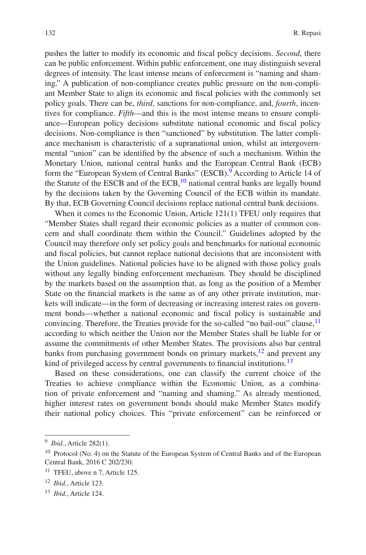pushes the latter to modify its economic and fiscal policy decisions. *Second*, there can be public enforcement. Within public enforcement, one may distinguish several degrees of intensity. The least intense means of enforcement is "naming and shaming." A publication of non-compliance creates public pressure on the non-compliant Member State to align its economic and fiscal policies with the commonly set policy goals. There can be, *third*, sanctions for non-compliance, and, *fourth*, incentives for compliance. *Fifth*—and this is the most intense means to ensure compliance—European policy decisions substitute national economic and fiscal policy decisions. Non-compliance is then "sanctioned" by substitution. The latter compliance mechanism is characteristic of a supranational union, whilst an intergovernmental "union" can be identified by the absence of such a mechanism. Within the Monetary Union, national central banks and the European Central Bank (ECB) form the "European System of Central Banks" (ESCB).<sup>9</sup> According to Article 14 of the Statute of the ESCB and of the  $ECB$ ,<sup>10</sup> national central banks are legally bound by the decisions taken by the Governing Council of the ECB within its mandate. By that, ECB Governing Council decisions replace national central bank decisions.

When it comes to the Economic Union, Article 121(1) TFEU only requires that "Member States shall regard their economic policies as a matter of common concern and shall coordinate them within the Council." Guidelines adopted by the Council may therefore only set policy goals and benchmarks for national economic and fiscal policies, but cannot replace national decisions that are inconsistent with the Union guidelines. National policies have to be aligned with those policy goals without any legally binding enforcement mechanism. They should be disciplined by the markets based on the assumption that, as long as the position of a Member State on the financial markets is the same as of any other private institution, markets will indicate—in the form of decreasing or increasing interest rates on government bonds—whether a national economic and fiscal policy is sustainable and convincing. Therefore, the Treaties provide for the so-called "no bail-out" clause,  $11$ according to which neither the Union nor the Member States shall be liable for or assume the commitments of other Member States. The provisions also bar central banks from purchasing government bonds on primary markets, $12$  and prevent any kind of privileged access by central governments to financial institutions.<sup>13</sup>

Based on these considerations, one can classify the current choice of the Treaties to achieve compliance within the Economic Union, as a combination of private enforcement and "naming and shaming." As already mentioned, higher interest rates on government bonds should make Member States modify their national policy choices. This "private enforcement" can be reinforced or

<span id="page-3-0"></span><sup>9</sup> *Ibid*., Article 282(1).

<span id="page-3-1"></span><sup>&</sup>lt;sup>10</sup> Protocol (No. 4) on the Statute of the European System of Central Banks and of the European Central Bank, 2016 C 202/230.

<span id="page-3-2"></span><sup>&</sup>lt;sup>11</sup> TFEU, above n 7, Article 125.

<span id="page-3-3"></span><sup>12</sup> *Ibid.*, Article 123.

<span id="page-3-4"></span><sup>13</sup> *Ibid.*, Article 124.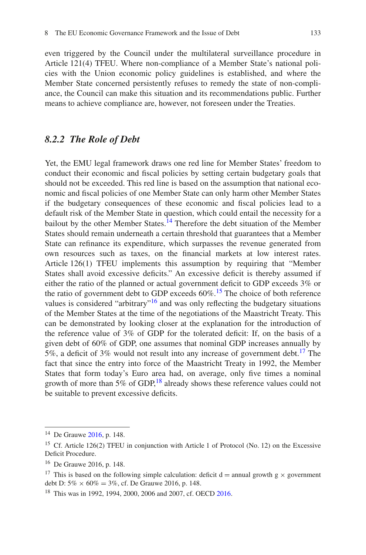<span id="page-4-0"></span>even triggered by the Council under the multilateral surveillance procedure in Article 121(4) TFEU. Where non-compliance of a Member State's national policies with the Union economic policy guidelines is established, and where the Member State concerned persistently refuses to remedy the state of non-compliance, the Council can make this situation and its recommendations public. Further means to achieve compliance are, however, not foreseen under the Treaties.

#### *8.2.2 The Role of Debt*

Yet, the EMU legal framework draws one red line for Member States' freedom to conduct their economic and fiscal policies by setting certain budgetary goals that should not be exceeded. This red line is based on the assumption that national economic and fiscal policies of one Member State can only harm other Member States if the budgetary consequences of these economic and fiscal policies lead to a default risk of the Member State in question, which could entail the necessity for a bailout by the other Member States.<sup>[14](#page-4-1)</sup> Therefore the debt situation of the Member States should remain underneath a certain threshold that guarantees that a Member State can refinance its expenditure, which surpasses the revenue generated from own resources such as taxes, on the financial markets at low interest rates. Article 126(1) TFEU implements this assumption by requiring that "Member States shall avoid excessive deficits." An excessive deficit is thereby assumed if either the ratio of the planned or actual government deficit to GDP exceeds 3% or the ratio of government debt to GDP exceeds  $60\%$ .<sup>[15](#page-4-2)</sup> The choice of both reference values is considered "arbitrary"<sup>16</sup> and was only reflecting the budgetary situations of the Member States at the time of the negotiations of the Maastricht Treaty. This can be demonstrated by looking closer at the explanation for the introduction of the reference value of 3% of GDP for the tolerated deficit: If, on the basis of a given debt of 60% of GDP, one assumes that nominal GDP increases annually by 5%, a deficit of 3% would not result into any increase of government debt.<sup>17</sup> The fact that since the entry into force of the Maastricht Treaty in 1992, the Member States that form today's Euro area had, on average, only five times a nominal growth of more than 5% of GDP,<sup>18</sup> already shows these reference values could not be suitable to prevent excessive deficits.

<span id="page-4-1"></span><sup>14</sup> De Grauwe [2016,](#page-18-1) p. 148.

<span id="page-4-2"></span><sup>&</sup>lt;sup>15</sup> Cf. Article 126(2) TFEU in conjunction with Article 1 of Protocol (No. 12) on the Excessive Deficit Procedure.

<span id="page-4-3"></span><sup>16</sup> De Grauwe 2016, p. 148.

<span id="page-4-4"></span><sup>&</sup>lt;sup>17</sup> This is based on the following simple calculation: deficit d = annual growth g  $\times$  government debt D:  $5\% \times 60\% = 3\%$ , cf. De Grauwe 2016, p. 148.

<span id="page-4-5"></span><sup>&</sup>lt;sup>18</sup> This was in 1992, 1994, 2000, 2006 and 2007, cf. OECD [2016](#page-18-2).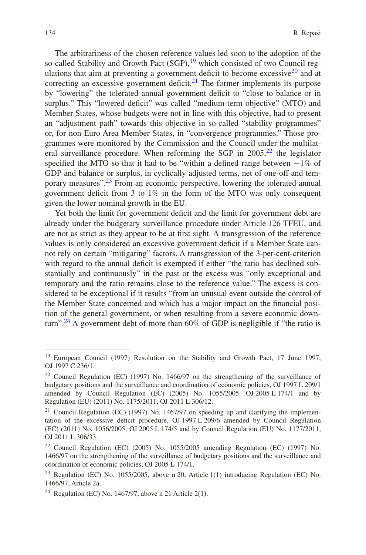The arbitrariness of the chosen reference values led soon to the adoption of the so-called Stability and Growth Pact  $(SGP)$ ,<sup>[19](#page-5-0)</sup> which consisted of two Council regulations that aim at preventing a government deficit to become excessive  $20$  and at correcting an excessive government deficit. $2<sup>1</sup>$  The former implements its purpose by "lowering" the tolerated annual government deficit to "close to balance or in surplus." This "lowered deficit" was called "medium-term objective" (MTO) and Member States, whose budgets were not in line with this objective, had to present an "adjustment path" towards this objective in so-called "stability programmes" or, for non-Euro Area Member States, in "convergence programmes." Those programmes were monitored by the Commission and the Council under the multilateral surveillance procedure. When reforming the SGP in  $2005$ ,  $22$  the legislator specified the MTO so that it had to be "within a defined range between  $-1\%$  of GDP and balance or surplus, in cyclically adjusted terms, net of one-off and temporary measures"[.23](#page-5-4) From an economic perspective, lowering the tolerated annual government deficit from 3 to 1% in the form of the MTO was only consequent given the lower nominal growth in the EU.

Yet both the limit for government deficit and the limit for government debt are already under the budgetary surveillance procedure under Article 126 TFEU, and are not as strict as they appear to be at first sight. A transgression of the reference values is only considered an excessive government deficit if a Member State cannot rely on certain "mitigating" factors. A transgression of the 3-per-cent-criterion with regard to the annual deficit is exempted if either "the ratio has declined substantially and continuously" in the past or the excess was "only exceptional and temporary and the ratio remains close to the reference value." The excess is considered to be exceptional if it results "from an unusual event outside the control of the Member State concerned and which has a major impact on the financial position of the general government, or when resulting from a severe economic down-turn".<sup>[24](#page-5-5)</sup> A government debt of more than 60% of GDP is negligible if "the ratio is

<span id="page-5-0"></span><sup>19</sup> European Council (1997) Resolution on the Stability and Growth Pact, 17 June 1997, OJ 1997 C 236/1.

<span id="page-5-1"></span><sup>&</sup>lt;sup>20</sup> Council Regulation (EC) (1997) No. 1466/97 on the strengthening of the surveillance of budgetary positions and the surveillance and coordination of economic policies, OJ 1997 L 209/1 amended by Council Regulation (EC) (2005) No. 1055/2005, OJ 2005 L 174/1 and by Regulation (EU) (2011) No. 1175/2011, OJ 2011 L 306/12.

<span id="page-5-2"></span><sup>&</sup>lt;sup>21</sup> Council Regulation (EC) (1997) No. 1467/97 on speeding up and clarifying the implementation of the excessive deficit procedure, OJ 1997 L 209/6 amended by Council Regulation (EC) (2011) No. 1056/2005, OJ 2005 L 174/5 and by Council Regulation (EU) No. 1177/2011, OJ 2011 L 306/33.

<span id="page-5-3"></span> $22$  Council Regulation (EC) (2005) No. 1055/2005 amending Regulation (EC) (1997) No. 1466/97 on the strengthening of the surveillance of budgetary positions and the surveillance and coordination of economic policies, OJ 2005 L 174/1.

<span id="page-5-4"></span><sup>23</sup> Regulation (EC) No. 1055/2005, above n 20, Article 1(1) introducing Regulation (EC) No. 1466/97, Article 2a.

<span id="page-5-5"></span><sup>&</sup>lt;sup>24</sup> Regulation (EC) No. 1467/97, above n 21 Article 2(1).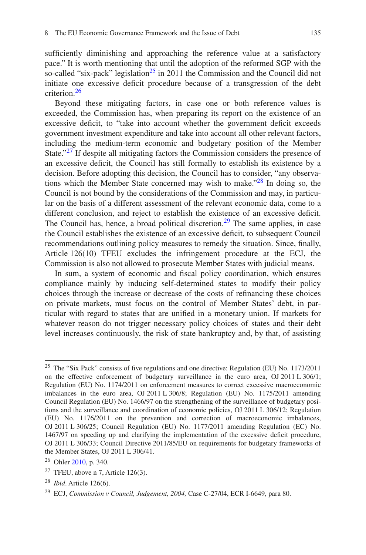sufficiently diminishing and approaching the reference value at a satisfactory pace." It is worth mentioning that until the adoption of the reformed SGP with the so-called "six-pack" legislation<sup>[25](#page-6-0)</sup> in 2011 the Commission and the Council did not initiate one excessive deficit procedure because of a transgression of the debt criterion.[26](#page-6-1)

Beyond these mitigating factors, in case one or both reference values is exceeded, the Commission has, when preparing its report on the existence of an excessive deficit, to "take into account whether the government deficit exceeds government investment expenditure and take into account all other relevant factors, including the medium-term economic and budgetary position of the Member State."<sup>27</sup> If despite all mitigating factors the Commission considers the presence of an excessive deficit, the Council has still formally to establish its existence by a decision. Before adopting this decision, the Council has to consider, "any observations which the Member State concerned may wish to make.<sup> $28$ </sup> In doing so, the Council is not bound by the considerations of the Commission and may, in particular on the basis of a different assessment of the relevant economic data, come to a different conclusion, and reject to establish the existence of an excessive deficit. The Council has, hence, a broad political discretion.<sup>[29](#page-6-4)</sup> The same applies, in case the Council establishes the existence of an excessive deficit, to subsequent Council recommendations outlining policy measures to remedy the situation. Since, finally, Article 126(10) TFEU excludes the infringement procedure at the ECJ, the Commission is also not allowed to prosecute Member States with judicial means.

In sum, a system of economic and fiscal policy coordination, which ensures compliance mainly by inducing self-determined states to modify their policy choices through the increase or decrease of the costs of refinancing these choices on private markets, must focus on the control of Member States' debt, in particular with regard to states that are unified in a monetary union. If markets for whatever reason do not trigger necessary policy choices of states and their debt level increases continuously, the risk of state bankruptcy and, by that, of assisting

<span id="page-6-0"></span><sup>&</sup>lt;sup>25</sup> The "Six Pack" consists of five regulations and one directive: Regulation (EU) No. 1173/2011 on the effective enforcement of budgetary surveillance in the euro area, OJ 2011 L 306/1; Regulation (EU) No. 1174/2011 on enforcement measures to correct excessive macroeconomic imbalances in the euro area, OJ 2011 L 306/8; Regulation (EU) No. 1175/2011 amending Council Regulation (EU) No. 1466/97 on the strengthening of the surveillance of budgetary positions and the surveillance and coordination of economic policies, OJ 2011 L 306/12; Regulation (EU) No. 1176/2011 on the prevention and correction of macroeconomic imbalances, OJ 2011 L 306/25; Council Regulation (EU) No. 1177/2011 amending Regulation (EC) No. 1467/97 on speeding up and clarifying the implementation of the excessive deficit procedure, OJ 2011 L 306/33; Council Directive 2011/85/EU on requirements for budgetary frameworks of the Member States, OJ 2011 L 306/41.

<span id="page-6-1"></span><sup>26</sup> Ohler [2010](#page-18-3), p. 340.

<span id="page-6-2"></span><sup>&</sup>lt;sup>27</sup> TFEU, above n 7, Article  $126(3)$ .

<span id="page-6-3"></span><sup>28</sup> *Ibid*. Article 126(6).

<span id="page-6-4"></span><sup>29</sup> ECJ, *Commission v Council, Judgement, 2004,* Case C-27/04, ECR I-6649, para 80.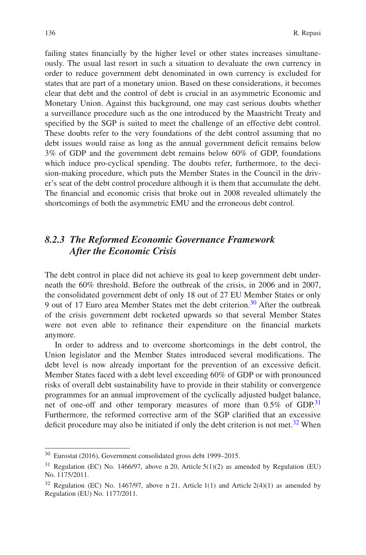<span id="page-7-0"></span>failing states financially by the higher level or other states increases simultaneously. The usual last resort in such a situation to devaluate the own currency in order to reduce government debt denominated in own currency is excluded for states that are part of a monetary union. Based on these considerations, it becomes clear that debt and the control of debt is crucial in an asymmetric Economic and Monetary Union. Against this background, one may cast serious doubts whether a surveillance procedure such as the one introduced by the Maastricht Treaty and specified by the SGP is suited to meet the challenge of an effective debt control. These doubts refer to the very foundations of the debt control assuming that no debt issues would raise as long as the annual government deficit remains below 3% of GDP and the government debt remains below 60% of GDP, foundations which induce pro-cyclical spending. The doubts refer, furthermore, to the decision-making procedure, which puts the Member States in the Council in the driver's seat of the debt control procedure although it is them that accumulate the debt. The financial and economic crisis that broke out in 2008 revealed ultimately the shortcomings of both the asymmetric EMU and the erroneous debt control.

# *8.2.3 The Reformed Economic Governance Framework After the Economic Crisis*

The debt control in place did not achieve its goal to keep government debt underneath the 60% threshold. Before the outbreak of the crisis, in 2006 and in 2007, the consolidated government debt of only 18 out of 27 EU Member States or only 9 out of 17 Euro area Member States met the debt criterion.<sup>30</sup> After the outbreak of the crisis government debt rocketed upwards so that several Member States were not even able to refinance their expenditure on the financial markets anymore.

In order to address and to overcome shortcomings in the debt control, the Union legislator and the Member States introduced several modifications. The debt level is now already important for the prevention of an excessive deficit. Member States faced with a debt level exceeding 60% of GDP or with pronounced risks of overall debt sustainability have to provide in their stability or convergence programmes for an annual improvement of the cyclically adjusted budget balance, net of one-off and other temporary measures of more than 0.5% of GDP.<sup>[31](#page-7-2)</sup> Furthermore, the reformed corrective arm of the SGP clarified that an excessive deficit procedure may also be initiated if only the debt criterion is not met.<sup>[32](#page-7-3)</sup> When

<span id="page-7-1"></span><sup>30</sup> Eurostat (2016), Government consolidated gross debt 1999–2015.

<span id="page-7-2"></span><sup>31</sup> Regulation (EC) No. 1466/97, above n 20, Article 5(1)(2) as amended by Regulation (EU) No. 1175/2011.

<span id="page-7-3"></span> $32$  Regulation (EC) No. 1467/97, above n 21, Article 1(1) and Article 2(4)(1) as amended by Regulation (EU) No. 1177/2011.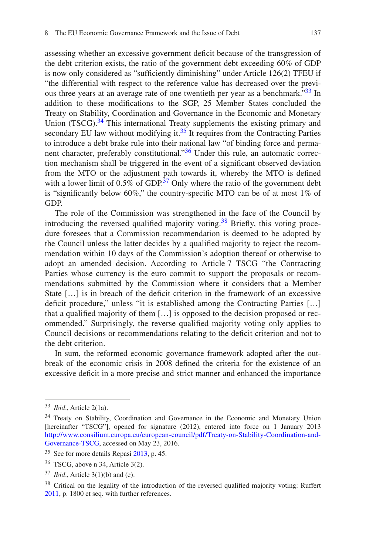assessing whether an excessive government deficit because of the transgression of the debt criterion exists, the ratio of the government debt exceeding 60% of GDP is now only considered as "sufficiently diminishing" under Article 126(2) TFEU if "the differential with respect to the reference value has decreased over the previ-ous three years at an average rate of one twentieth per year as a benchmark.<sup>[33](#page-8-0)</sup> In addition to these modifications to the SGP, 25 Member States concluded the Treaty on Stability, Coordination and Governance in the Economic and Monetary Union (TSCG).<sup>34</sup> This international Treaty supplements the existing primary and secondary EU law without modifying it. $35$  It requires from the Contracting Parties to introduce a debt brake rule into their national law "of binding force and permanent character, preferably constitutional."<sup>36</sup> Under this rule, an automatic correction mechanism shall be triggered in the event of a significant observed deviation from the MTO or the adjustment path towards it, whereby the MTO is defined with a lower limit of  $0.5\%$  of GDP.<sup>[37](#page-8-4)</sup> Only where the ratio of the government debt is "significantly below 60%," the country-specific MTO can be of at most 1% of GDP.

The role of the Commission was strengthened in the face of the Council by introducing the reversed qualified majority voting.<sup>[38](#page-8-5)</sup> Briefly, this voting procedure foresees that a Commission recommendation is deemed to be adopted by the Council unless the latter decides by a qualified majority to reject the recommendation within 10 days of the Commission's adoption thereof or otherwise to adopt an amended decision. According to Article 7 TSCG "the Contracting Parties whose currency is the euro commit to support the proposals or recommendations submitted by the Commission where it considers that a Member State […] is in breach of the deficit criterion in the framework of an excessive deficit procedure," unless "it is established among the Contracting Parties […] that a qualified majority of them […] is opposed to the decision proposed or recommended." Surprisingly, the reverse qualified majority voting only applies to Council decisions or recommendations relating to the deficit criterion and not to the debt criterion.

In sum, the reformed economic governance framework adopted after the outbreak of the economic crisis in 2008 defined the criteria for the existence of an excessive deficit in a more precise and strict manner and enhanced the importance

<span id="page-8-0"></span><sup>33</sup> *Ibid*., Article 2(1a).

<span id="page-8-1"></span><sup>&</sup>lt;sup>34</sup> Treaty on Stability, Coordination and Governance in the Economic and Monetary Union [hereinafter "TSCG"], opened for signature (2012), entered into force on 1 January 2013 [http://www.consilium.europa.eu/european-council/pdf/Treaty-on-Stability-Coordination-and-](http://www.consilium.europa.eu/european-council/pdf/Treaty-on-Stability-Coordination-and-Governance-TSCG)[Governance-TSCG](http://www.consilium.europa.eu/european-council/pdf/Treaty-on-Stability-Coordination-and-Governance-TSCG), accessed on May 23, 2016.

<span id="page-8-2"></span><sup>35</sup> See for more details Repasi [2013](#page-18-4), p. 45.

<span id="page-8-3"></span><sup>36</sup> TSCG, above n 34, Article 3(2).

<span id="page-8-4"></span><sup>37</sup> *Ibid*., Article 3(1)(b) and (e).

<span id="page-8-5"></span><sup>&</sup>lt;sup>38</sup> Critical on the legality of the introduction of the reversed qualified majority voting: Ruffert [2011,](#page-18-5) p. 1800 et seq. with further references.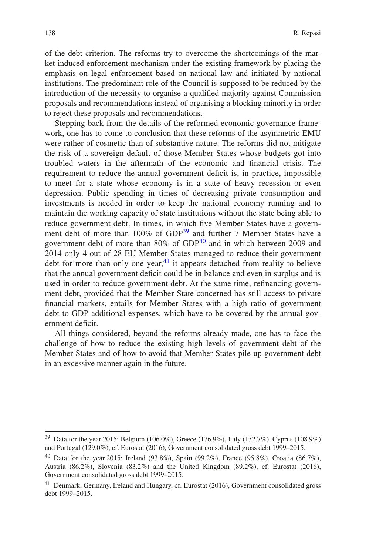of the debt criterion. The reforms try to overcome the shortcomings of the market-induced enforcement mechanism under the existing framework by placing the emphasis on legal enforcement based on national law and initiated by national institutions. The predominant role of the Council is supposed to be reduced by the introduction of the necessity to organise a qualified majority against Commission proposals and recommendations instead of organising a blocking minority in order to reject these proposals and recommendations.

Stepping back from the details of the reformed economic governance framework, one has to come to conclusion that these reforms of the asymmetric EMU were rather of cosmetic than of substantive nature. The reforms did not mitigate the risk of a sovereign default of those Member States whose budgets got into troubled waters in the aftermath of the economic and financial crisis. The requirement to reduce the annual government deficit is, in practice, impossible to meet for a state whose economy is in a state of heavy recession or even depression. Public spending in times of decreasing private consumption and investments is needed in order to keep the national economy running and to maintain the working capacity of state institutions without the state being able to reduce government debt. In times, in which five Member States have a govern-ment debt of more than 100% of GDP<sup>[39](#page-9-0)</sup> and further 7 Member States have a government debt of more than 80% of GDP[40](#page-9-1) and in which between 2009 and 2014 only 4 out of 28 EU Member States managed to reduce their government debt for more than only one year,  $41$  it appears detached from reality to believe that the annual government deficit could be in balance and even in surplus and is used in order to reduce government debt. At the same time, refinancing government debt, provided that the Member State concerned has still access to private financial markets, entails for Member States with a high ratio of government debt to GDP additional expenses, which have to be covered by the annual government deficit.

All things considered, beyond the reforms already made, one has to face the challenge of how to reduce the existing high levels of government debt of the Member States and of how to avoid that Member States pile up government debt in an excessive manner again in the future.

<span id="page-9-0"></span><sup>39</sup> Data for the year 2015: Belgium (106.0%), Greece (176.9%), Italy (132.7%), Cyprus (108.9%) and Portugal (129.0%), cf. Eurostat (2016), Government consolidated gross debt 1999–2015.

<span id="page-9-1"></span><sup>40</sup> Data for the year 2015: Ireland (93.8%), Spain (99.2%), France (95.8%), Croatia (86.7%), Austria (86.2%), Slovenia (83.2%) and the United Kingdom (89.2%), cf. Eurostat (2016), Government consolidated gross debt 1999–2015.

<span id="page-9-2"></span><sup>41</sup> Denmark, Germany, Ireland and Hungary, cf. Eurostat (2016), Government consolidated gross debt 1999–2015.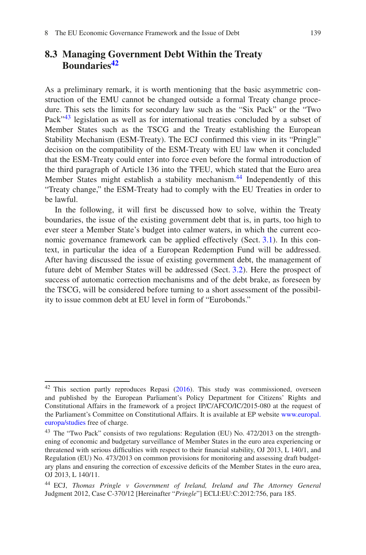# <span id="page-10-1"></span><span id="page-10-0"></span>**8.3 Managing Government Debt Within the Treaty Boundaries[42](#page-10-2)**

As a preliminary remark, it is worth mentioning that the basic asymmetric construction of the EMU cannot be changed outside a formal Treaty change procedure. This sets the limits for secondary law such as the "Six Pack" or the "Two Pack<sup>"[43](#page-10-3)</sup> legislation as well as for international treaties concluded by a subset of Member States such as the TSCG and the Treaty establishing the European Stability Mechanism (ESM-Treaty). The ECJ confirmed this view in its "Pringle" decision on the compatibility of the ESM-Treaty with EU law when it concluded that the ESM-Treaty could enter into force even before the formal introduction of the third paragraph of Article 136 into the TFEU, which stated that the Euro area Member States might establish a stability mechanism.<sup>[44](#page-10-4)</sup> Independently of this "Treaty change," the ESM-Treaty had to comply with the EU Treaties in order to be lawful.

In the following, it will first be discussed how to solve, within the Treaty boundaries, the issue of the existing government debt that is, in parts, too high to ever steer a Member State's budget into calmer waters, in which the current economic governance framework can be applied effectively (Sect. [3.1\)](#page-11-1). In this context, in particular the idea of a European Redemption Fund will be addressed. After having discussed the issue of existing government debt, the management of future debt of Member States will be addressed (Sect. [3.2\)](#page-16-1). Here the prospect of success of automatic correction mechanisms and of the debt brake, as foreseen by the TSCG, will be considered before turning to a short assessment of the possibility to issue common debt at EU level in form of "Eurobonds."

<span id="page-10-2"></span><sup>&</sup>lt;sup>42</sup> This section partly reproduces Repasi [\(2016](#page-18-6)). This study was commissioned, overseen and published by the European Parliament's Policy Department for Citizens' Rights and Constitutional Affairs in the framework of a project IP/C/AFCO/IC/2015-080 at the request of the Parliament's Committee on Constitutional Affairs. It is available at EP website [www.europal.](http://www.europal.europa/studies) [europa/studies](http://www.europal.europa/studies) free of charge.

<span id="page-10-3"></span><sup>&</sup>lt;sup>43</sup> The "Two Pack" consists of two regulations: Regulation (EU) No. 472/2013 on the strengthening of economic and budgetary surveillance of Member States in the euro area experiencing or threatened with serious difficulties with respect to their financial stability, OJ 2013, L 140/1, and Regulation (EU) No. 473/2013 on common provisions for monitoring and assessing draft budgetary plans and ensuring the correction of excessive deficits of the Member States in the euro area, OJ 2013, L 140/11.

<span id="page-10-4"></span><sup>44</sup> ECJ, *Thomas Pringle v Government of Ireland, Ireland and The Attorney General* Judgment 2012, Case C-370/12 [Hereinafter "*Pringle*"] ECLI:EU:C:2012:756, para 185.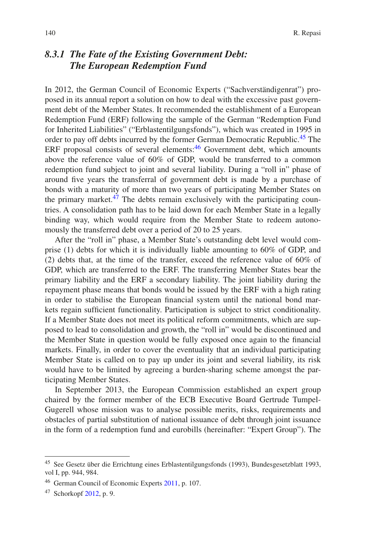# <span id="page-11-1"></span><span id="page-11-0"></span>*8.3.1 The Fate of the Existing Government Debt: The European Redemption Fund*

In 2012, the German Council of Economic Experts ("Sachverständigenrat") proposed in its annual report a solution on how to deal with the excessive past government debt of the Member States. It recommended the establishment of a European Redemption Fund (ERF) following the sample of the German "Redemption Fund for Inherited Liabilities" ("Erblastentilgungsfonds"), which was created in 1995 in order to pay off debts incurred by the former German Democratic Republic.<sup>[45](#page-11-2)</sup> The ERF proposal consists of several elements:<sup>[46](#page-11-3)</sup> Government debt, which amounts above the reference value of 60% of GDP, would be transferred to a common redemption fund subject to joint and several liability. During a "roll in" phase of around five years the transferral of government debt is made by a purchase of bonds with a maturity of more than two years of participating Member States on the primary market. $4^{7}$  The debts remain exclusively with the participating countries. A consolidation path has to be laid down for each Member State in a legally binding way, which would require from the Member State to redeem autonomously the transferred debt over a period of 20 to 25 years.

After the "roll in" phase, a Member State's outstanding debt level would comprise (1) debts for which it is individually liable amounting to 60% of GDP, and (2) debts that, at the time of the transfer, exceed the reference value of 60% of GDP, which are transferred to the ERF. The transferring Member States bear the primary liability and the ERF a secondary liability. The joint liability during the repayment phase means that bonds would be issued by the ERF with a high rating in order to stabilise the European financial system until the national bond markets regain sufficient functionality. Participation is subject to strict conditionality. If a Member State does not meet its political reform commitments, which are supposed to lead to consolidation and growth, the "roll in" would be discontinued and the Member State in question would be fully exposed once again to the financial markets. Finally, in order to cover the eventuality that an individual participating Member State is called on to pay up under its joint and several liability, its risk would have to be limited by agreeing a burden-sharing scheme amongst the participating Member States.

In September 2013, the European Commission established an expert group chaired by the former member of the ECB Executive Board Gertrude Tumpel-Gugerell whose mission was to analyse possible merits, risks, requirements and obstacles of partial substitution of national issuance of debt through joint issuance in the form of a redemption fund and eurobills (hereinafter: "Expert Group"). The

<span id="page-11-2"></span><sup>45</sup> See Gesetz über die Errichtung eines Erblastentilgungsfonds (1993), Bundesgesetzblatt 1993, vol I, pp. 944, 984.

<span id="page-11-3"></span><sup>46</sup> German Council of Economic Experts [2011,](#page-18-7) p. 107.

<span id="page-11-4"></span> $47$  Schorkopf [2012,](#page-18-8) p. 9.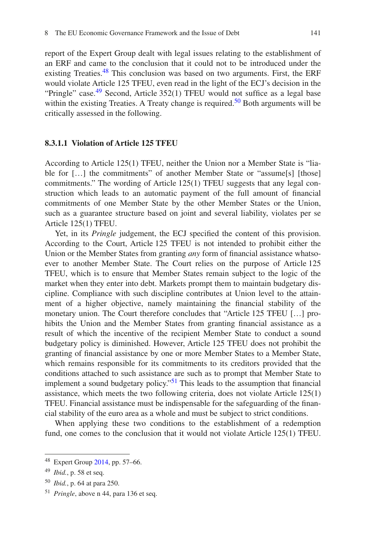report of the Expert Group dealt with legal issues relating to the establishment of an ERF and came to the conclusion that it could not to be introduced under the existing Treaties.<sup>48</sup> This conclusion was based on two arguments. First, the ERF would violate Article 125 TFEU, even read in the light of the ECJ's decision in the "Pringle" case.<sup>[49](#page-12-1)</sup> Second, Article  $352(1)$  TFEU would not suffice as a legal base within the existing Treaties. A Treaty change is required.<sup>50</sup> Both arguments will be critically assessed in the following.

#### **8.3.1.1 Violation of Article 125 TFEU**

According to Article 125(1) TFEU, neither the Union nor a Member State is "liable for [...] the commitments" of another Member State or "assume[s] [those] commitments." The wording of Article 125(1) TFEU suggests that any legal construction which leads to an automatic payment of the full amount of financial commitments of one Member State by the other Member States or the Union, such as a guarantee structure based on joint and several liability, violates per se Article 125(1) TFEU.

Yet, in its *Pringle* judgement, the ECJ specified the content of this provision. According to the Court, Article 125 TFEU is not intended to prohibit either the Union or the Member States from granting *any* form of financial assistance whatsoever to another Member State. The Court relies on the purpose of Article 125 TFEU, which is to ensure that Member States remain subject to the logic of the market when they enter into debt. Markets prompt them to maintain budgetary discipline. Compliance with such discipline contributes at Union level to the attainment of a higher objective, namely maintaining the financial stability of the monetary union. The Court therefore concludes that "Article 125 TFEU […] prohibits the Union and the Member States from granting financial assistance as a result of which the incentive of the recipient Member State to conduct a sound budgetary policy is diminished. However, Article 125 TFEU does not prohibit the granting of financial assistance by one or more Member States to a Member State, which remains responsible for its commitments to its creditors provided that the conditions attached to such assistance are such as to prompt that Member State to implement a sound budgetary policy.<sup> $51$ </sup> This leads to the assumption that financial assistance, which meets the two following criteria, does not violate Article 125(1) TFEU. Financial assistance must be indispensable for the safeguarding of the financial stability of the euro area as a whole and must be subject to strict conditions.

When applying these two conditions to the establishment of a redemption fund, one comes to the conclusion that it would not violate Article 125(1) TFEU.

<span id="page-12-0"></span><sup>48</sup> Expert Group [2014](#page-18-9), pp. 57–66.

<span id="page-12-1"></span><sup>49</sup> *Ibid.*, p. 58 et seq.

<span id="page-12-2"></span><sup>50</sup> *Ibid.*, p. 64 at para 250.

<span id="page-12-3"></span><sup>51</sup> *Pringle*, above n 44, para 136 et seq.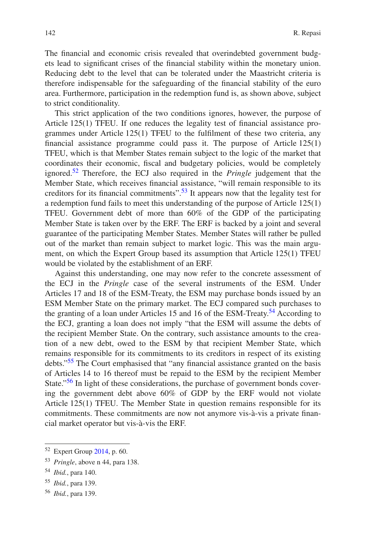The financial and economic crisis revealed that overindebted government budgets lead to significant crises of the financial stability within the monetary union. Reducing debt to the level that can be tolerated under the Maastricht criteria is therefore indispensable for the safeguarding of the financial stability of the euro area. Furthermore, participation in the redemption fund is, as shown above, subject to strict conditionality.

This strict application of the two conditions ignores, however, the purpose of Article 125(1) TFEU. If one reduces the legality test of financial assistance programmes under Article 125(1) TFEU to the fulfilment of these two criteria, any financial assistance programme could pass it. The purpose of Article  $125(1)$ TFEU, which is that Member States remain subject to the logic of the market that coordinates their economic, fiscal and budgetary policies, would be completely ignored.[52](#page-13-0) Therefore, the ECJ also required in the *Pringle* judgement that the Member State, which receives financial assistance, "will remain responsible to its creditors for its financial commitments".<sup>[53](#page-13-1)</sup> It appears now that the legality test for a redemption fund fails to meet this understanding of the purpose of Article 125(1) TFEU. Government debt of more than 60% of the GDP of the participating Member State is taken over by the ERF. The ERF is backed by a joint and several guarantee of the participating Member States. Member States will rather be pulled out of the market than remain subject to market logic. This was the main argument, on which the Expert Group based its assumption that Article 125(1) TFEU would be violated by the establishment of an ERF.

Against this understanding, one may now refer to the concrete assessment of the ECJ in the *Pringle* case of the several instruments of the ESM. Under Articles 17 and 18 of the ESM-Treaty, the ESM may purchase bonds issued by an ESM Member State on the primary market. The ECJ compared such purchases to the granting of a loan under Articles 15 and 16 of the ESM-Treaty.<sup>[54](#page-13-2)</sup> According to the ECJ, granting a loan does not imply "that the ESM will assume the debts of the recipient Member State. On the contrary, such assistance amounts to the creation of a new debt, owed to the ESM by that recipient Member State, which remains responsible for its commitments to its creditors in respect of its existing debts.["55](#page-13-3) The Court emphasised that "any financial assistance granted on the basis of Articles 14 to 16 thereof must be repaid to the ESM by the recipient Member State."<sup>56</sup> In light of these considerations, the purchase of government bonds covering the government debt above 60% of GDP by the ERF would not violate Article 125(1) TFEU. The Member State in question remains responsible for its commitments. These commitments are now not anymore vis-à-vis a private financial market operator but vis-à-vis the ERF.

<span id="page-13-0"></span><sup>52</sup> Expert Group [2014](#page-18-9), p. 60.

<span id="page-13-1"></span><sup>53</sup> *Pringle*, above n 44, para 138.

<span id="page-13-2"></span><sup>54</sup> *Ibid.*, para 140.

<span id="page-13-3"></span><sup>55</sup> *Ibid.*, para 139.

<span id="page-13-4"></span><sup>56</sup> *Ibid.*, para 139.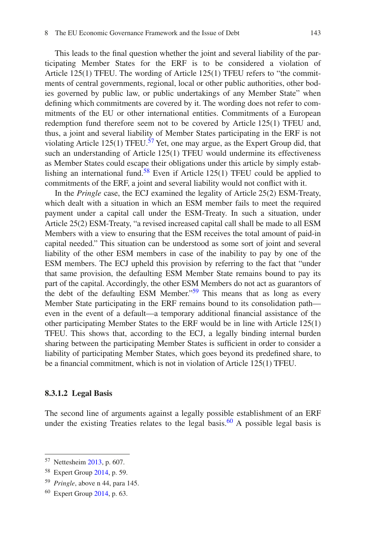This leads to the final question whether the joint and several liability of the participating Member States for the ERF is to be considered a violation of Article 125(1) TFEU. The wording of Article 125(1) TFEU refers to "the commitments of central governments, regional, local or other public authorities, other bodies governed by public law, or public undertakings of any Member State" when defining which commitments are covered by it. The wording does not refer to commitments of the EU or other international entities. Commitments of a European redemption fund therefore seem not to be covered by Article 125(1) TFEU and, thus, a joint and several liability of Member States participating in the ERF is not violating Article 125(1) TFEU.<sup>[57](#page-14-0)</sup> Yet, one may argue, as the Expert Group did, that such an understanding of Article 125(1) TFEU would undermine its effectiveness as Member States could escape their obligations under this article by simply establishing an international fund.<sup>58</sup> Even if Article 125(1) TFEU could be applied to commitments of the ERF, a joint and several liability would not conflict with it.

In the *Pringle* case, the ECJ examined the legality of Article 25(2) ESM-Treaty, which dealt with a situation in which an ESM member fails to meet the required payment under a capital call under the ESM-Treaty. In such a situation, under Article 25(2) ESM-Treaty, "a revised increased capital call shall be made to all ESM Members with a view to ensuring that the ESM receives the total amount of paid-in capital needed." This situation can be understood as some sort of joint and several liability of the other ESM members in case of the inability to pay by one of the ESM members. The ECJ upheld this provision by referring to the fact that "under that same provision, the defaulting ESM Member State remains bound to pay its part of the capital. Accordingly, the other ESM Members do not act as guarantors of the debt of the defaulting ESM Member.<sup> $59$ </sup> This means that as long as every Member State participating in the ERF remains bound to its consolidation path even in the event of a default—a temporary additional financial assistance of the other participating Member States to the ERF would be in line with Article 125(1) TFEU. This shows that, according to the ECJ, a legally binding internal burden sharing between the participating Member States is sufficient in order to consider a liability of participating Member States, which goes beyond its predefined share, to be a financial commitment, which is not in violation of Article 125(1) TFEU.

#### **8.3.1.2 Legal Basis**

The second line of arguments against a legally possible establishment of an ERF under the existing Treaties relates to the legal basis.<sup>60</sup> A possible legal basis is

<span id="page-14-0"></span><sup>57</sup> Nettesheim [2013](#page-18-10), p. 607.

<span id="page-14-1"></span><sup>58</sup> Expert Group [2014](#page-18-9), p. 59.

<span id="page-14-2"></span><sup>59</sup> *Pringle*, above n 44, para 145.

<span id="page-14-3"></span><sup>60</sup> Expert Group [2014](#page-18-9), p. 63.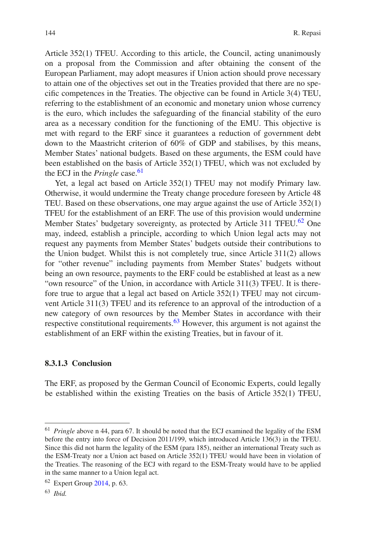Article 352(1) TFEU. According to this article, the Council, acting unanimously on a proposal from the Commission and after obtaining the consent of the European Parliament, may adopt measures if Union action should prove necessary to attain one of the objectives set out in the Treaties provided that there are no specific competences in the Treaties. The objective can be found in Article 3(4) TEU, referring to the establishment of an economic and monetary union whose currency is the euro, which includes the safeguarding of the financial stability of the euro area as a necessary condition for the functioning of the EMU. This objective is met with regard to the ERF since it guarantees a reduction of government debt down to the Maastricht criterion of 60% of GDP and stabilises, by this means, Member States' national budgets. Based on these arguments, the ESM could have been established on the basis of Article 352(1) TFEU, which was not excluded by the ECJ in the *Pringle* case.<sup>[61](#page-15-0)</sup>

Yet, a legal act based on Article 352(1) TFEU may not modify Primary law. Otherwise, it would undermine the Treaty change procedure foreseen by Article 48 TEU. Based on these observations, one may argue against the use of Article 352(1) TFEU for the establishment of an ERF. The use of this provision would undermine Member States' budgetary sovereignty, as protected by Article 311 TFEU.<sup>[62](#page-15-1)</sup> One may, indeed, establish a principle, according to which Union legal acts may not request any payments from Member States' budgets outside their contributions to the Union budget. Whilst this is not completely true, since Article 311(2) allows for "other revenue" including payments from Member States' budgets without being an own resource, payments to the ERF could be established at least as a new "own resource" of the Union, in accordance with Article 311(3) TFEU. It is therefore true to argue that a legal act based on Article 352(1) TFEU may not circumvent Article 311(3) TFEU and its reference to an approval of the introduction of a new category of own resources by the Member States in accordance with their respective constitutional requirements. $^{63}$  However, this argument is not against the establishment of an ERF within the existing Treaties, but in favour of it.

#### **8.3.1.3 Conclusion**

The ERF, as proposed by the German Council of Economic Experts, could legally be established within the existing Treaties on the basis of Article 352(1) TFEU,

<span id="page-15-0"></span><sup>61</sup> *Pringle* above n 44, para 67. It should be noted that the ECJ examined the legality of the ESM before the entry into force of Decision 2011/199, which introduced Article 136(3) in the TFEU. Since this did not harm the legality of the ESM (para 185), neither an international Treaty such as the ESM-Treaty nor a Union act based on Article 352(1) TFEU would have been in violation of the Treaties. The reasoning of the ECJ with regard to the ESM-Treaty would have to be applied in the same manner to a Union legal act.

<span id="page-15-1"></span><sup>62</sup> Expert Group [2014](#page-18-9), p. 63.

<span id="page-15-2"></span><sup>63</sup> *Ibid.*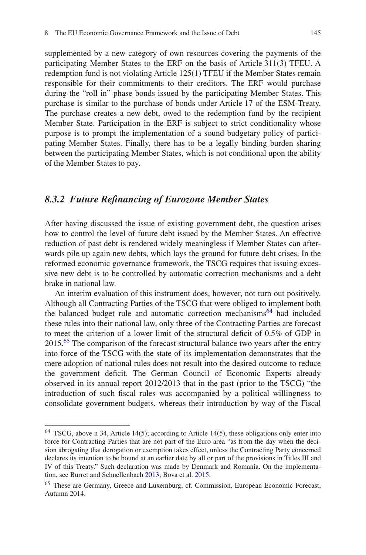<span id="page-16-0"></span>supplemented by a new category of own resources covering the payments of the participating Member States to the ERF on the basis of Article 311(3) TFEU. A redemption fund is not violating Article 125(1) TFEU if the Member States remain responsible for their commitments to their creditors. The ERF would purchase during the "roll in" phase bonds issued by the participating Member States. This purchase is similar to the purchase of bonds under Article 17 of the ESM-Treaty. The purchase creates a new debt, owed to the redemption fund by the recipient Member State. Participation in the ERF is subject to strict conditionality whose purpose is to prompt the implementation of a sound budgetary policy of participating Member States. Finally, there has to be a legally binding burden sharing between the participating Member States, which is not conditional upon the ability of the Member States to pay.

### <span id="page-16-1"></span>*8.3.2 Future Refinancing of Eurozone Member States*

After having discussed the issue of existing government debt, the question arises how to control the level of future debt issued by the Member States. An effective reduction of past debt is rendered widely meaningless if Member States can afterwards pile up again new debts, which lays the ground for future debt crises. In the reformed economic governance framework, the TSCG requires that issuing excessive new debt is to be controlled by automatic correction mechanisms and a debt brake in national law.

An interim evaluation of this instrument does, however, not turn out positively. Although all Contracting Parties of the TSCG that were obliged to implement both the balanced budget rule and automatic correction mechanisms<sup>64</sup> had included these rules into their national law, only three of the Contracting Parties are forecast to meet the criterion of a lower limit of the structural deficit of 0.5% of GDP in  $2015<sup>65</sup>$  The comparison of the forecast structural balance two years after the entry into force of the TSCG with the state of its implementation demonstrates that the mere adoption of national rules does not result into the desired outcome to reduce the government deficit. The German Council of Economic Experts already observed in its annual report 2012/2013 that in the past (prior to the TSCG) "the introduction of such fiscal rules was accompanied by a political willingness to consolidate government budgets, whereas their introduction by way of the Fiscal

<span id="page-16-2"></span><sup>64</sup> TSCG, above n 34, Article 14(5); according to Article 14(5), these obligations only enter into force for Contracting Parties that are not part of the Euro area "as from the day when the decision abrogating that derogation or exemption takes effect, unless the Contracting Party concerned declares its intention to be bound at an earlier date by all or part of the provisions in Titles III and IV of this Treaty." Such declaration was made by Denmark and Romania. On the implementation, see Burret and Schnellenbach [2013](#page-18-11); Bova et al. [2015](#page-18-12).

<span id="page-16-3"></span><sup>65</sup> These are Germany, Greece and Luxemburg, cf. Commission, European Economic Forecast, Autumn 2014.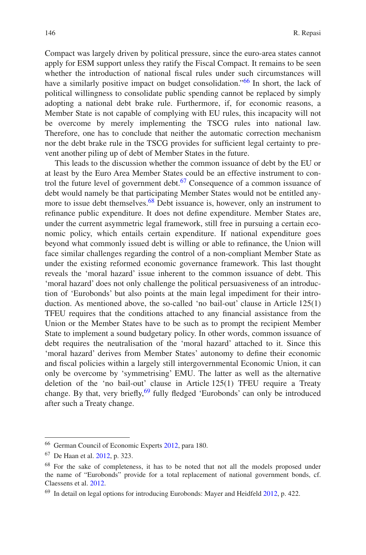Compact was largely driven by political pressure, since the euro-area states cannot apply for ESM support unless they ratify the Fiscal Compact. It remains to be seen whether the introduction of national fiscal rules under such circumstances will have a similarly positive impact on budget consolidation."<sup>[66](#page-17-0)</sup> In short, the lack of political willingness to consolidate public spending cannot be replaced by simply adopting a national debt brake rule. Furthermore, if, for economic reasons, a Member State is not capable of complying with EU rules, this incapacity will not be overcome by merely implementing the TSCG rules into national law. Therefore, one has to conclude that neither the automatic correction mechanism nor the debt brake rule in the TSCG provides for sufficient legal certainty to prevent another piling up of debt of Member States in the future.

This leads to the discussion whether the common issuance of debt by the EU or at least by the Euro Area Member States could be an effective instrument to control the future level of government debt. $67$  Consequence of a common issuance of debt would namely be that participating Member States would not be entitled anymore to issue debt themselves.<sup>68</sup> Debt issuance is, however, only an instrument to refinance public expenditure. It does not define expenditure. Member States are, under the current asymmetric legal framework, still free in pursuing a certain economic policy, which entails certain expenditure. If national expenditure goes beyond what commonly issued debt is willing or able to refinance, the Union will face similar challenges regarding the control of a non-compliant Member State as under the existing reformed economic governance framework. This last thought reveals the 'moral hazard' issue inherent to the common issuance of debt. This 'moral hazard' does not only challenge the political persuasiveness of an introduction of 'Eurobonds' but also points at the main legal impediment for their introduction. As mentioned above, the so-called 'no bail-out' clause in Article 125(1) TFEU requires that the conditions attached to any financial assistance from the Union or the Member States have to be such as to prompt the recipient Member State to implement a sound budgetary policy. In other words, common issuance of debt requires the neutralisation of the 'moral hazard' attached to it. Since this 'moral hazard' derives from Member States' autonomy to define their economic and fiscal policies within a largely still intergovernmental Economic Union, it can only be overcome by 'symmetrising' EMU. The latter as well as the alternative deletion of the 'no bail-out' clause in Article 125(1) TFEU require a Treaty change. By that, very briefly,  $69$  fully fledged 'Eurobonds' can only be introduced after such a Treaty change.

<span id="page-17-0"></span><sup>66</sup> German Council of Economic Experts [2012,](#page-18-13) para 180.

<span id="page-17-1"></span><sup>67</sup> De Haan et al. [2012](#page-18-14), p. 323.

<span id="page-17-2"></span><sup>68</sup> For the sake of completeness, it has to be noted that not all the models proposed under the name of "Eurobonds" provide for a total replacement of national government bonds, cf. Claessens et al. [2012](#page-18-15).

<span id="page-17-3"></span><sup>&</sup>lt;sup>69</sup> In detail on legal options for introducing Eurobonds: Mayer and Heidfeld [2012](#page-18-16), p. 422.